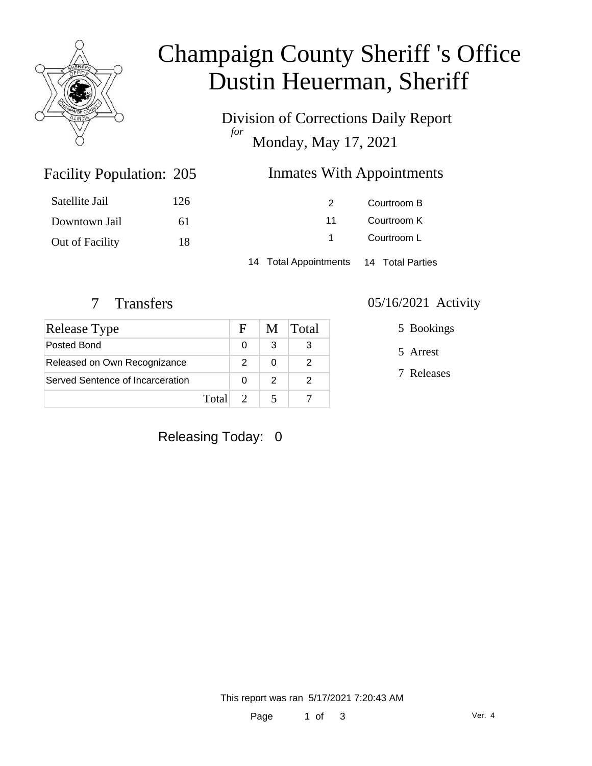

# Champaign County Sheriff 's Office Dustin Heuerman, Sheriff

Division of Corrections Daily Report *for* Monday, May 17, 2021

# **Inmates With Appointments**

| Satellite Jail  | 126 | $\mathcal{P}$ | Courtroom B |
|-----------------|-----|---------------|-------------|
| Downtown Jail   | 61  | 11            | Courtroom K |
| Out of Facility | 18  |               | Courtroom L |
|                 |     |               |             |

14 Total Appointments 14 Total Parties

Facility Population: 205

| Release Type                     |       | F | M. | Total |
|----------------------------------|-------|---|----|-------|
| Posted Bond                      |       |   | 3  |       |
| Released on Own Recognizance     |       |   |    |       |
| Served Sentence of Incarceration |       |   | 2  |       |
|                                  | Total |   |    |       |

#### 7 Transfers 05/16/2021 Activity

5 Bookings

5 Arrest

7 Releases

### Releasing Today: 0

This report was ran 5/17/2021 7:20:43 AM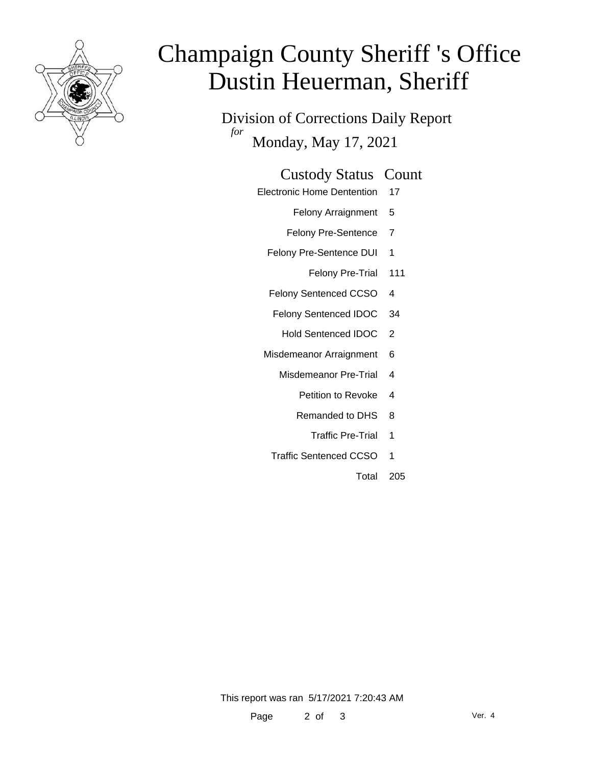

# Champaign County Sheriff 's Office Dustin Heuerman, Sheriff

Division of Corrections Daily Report *for* Monday, May 17, 2021

#### Custody Status Count

- Electronic Home Dentention 17
	- Felony Arraignment 5
	- Felony Pre-Sentence 7
	- Felony Pre-Sentence DUI 1
		- Felony Pre-Trial 111
	- Felony Sentenced CCSO 4
	- Felony Sentenced IDOC 34
		- Hold Sentenced IDOC 2
	- Misdemeanor Arraignment 6
		- Misdemeanor Pre-Trial 4
			- Petition to Revoke 4
			- Remanded to DHS 8
				- Traffic Pre-Trial 1
		- Traffic Sentenced CCSO 1
			- Total 205

This report was ran 5/17/2021 7:20:43 AM